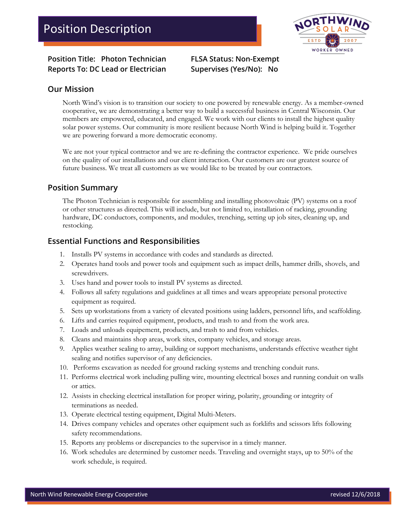WORKER OWNED

**Position Title: Photon Technician FLSA Status: Non-Exempt Reports To: DC Lead or Electrician Supervises (Yes/No): No**

#### **Our Mission**

North Wind's vision is to transition our society to one powered by renewable energy. As a member-owned cooperative, we are demonstrating a better way to build a successful business in Central Wisconsin. Our members are empowered, educated, and engaged. We work with our clients to install the highest quality solar power systems. Our community is more resilient because North Wind is helping build it. Together we are powering forward a more democratic economy.

We are not your typical contractor and we are re-defining the contractor experience. We pride ourselves on the quality of our installations and our client interaction. Our customers are our greatest source of future business. We treat all customers as we would like to be treated by our contractors.

#### **Position Summary**

The Photon Technician is responsible for assembling and installing photovoltaic (PV) systems on a roof or other structures as directed. This will include, but not limited to, installation of racking, grounding hardware, DC conductors, components, and modules, trenching, setting up job sites, cleaning up, and restocking.

#### **Essential Functions and Responsibilities**

- 1. Installs PV systems in accordance with codes and standards as directed.
- 2. Operates hand tools and power tools and equipment such as impact drills, hammer drills, shovels, and screwdrivers.
- 3. Uses hand and power tools to install PV systems as directed.
- 4. Follows all safety regulations and guidelines at all times and wears appropriate personal protective equipment as required.
- 5. Sets up workstations from a variety of elevated positions using ladders, personnel lifts, and scaffolding.
- 6. Lifts and carries required equipment, products, and trash to and from the work area.
- 7. Loads and unloads equipement, products, and trash to and from vehicles.
- 8. Cleans and maintains shop areas, work sites, company vehicles, and storage areas.
- 9. Applies weather sealing to array, building or support mechanisms, understands effective weather tight sealing and notifies supervisor of any deficiencies.
- 10. Performs excavation as needed for ground racking systems and trenching conduit runs.
- 11. Performs electrical work including pulling wire, mounting electrical boxes and running conduit on walls or attics.
- 12. Assists in checking electrical installation for proper wiring, polarity, grounding or integrity of terminations as needed.
- 13. Operate electrical testing equipment, Digital Multi-Meters.
- 14. Drives company vehicles and operates other equipment such as forklifts and scissors lifts following safety recommendations.
- 15. Reports any problems or discrepancies to the supervisor in a timely manner.
- 16. Work schedules are determined by customer needs. Traveling and overnight stays, up to 50% of the work schedule, is required.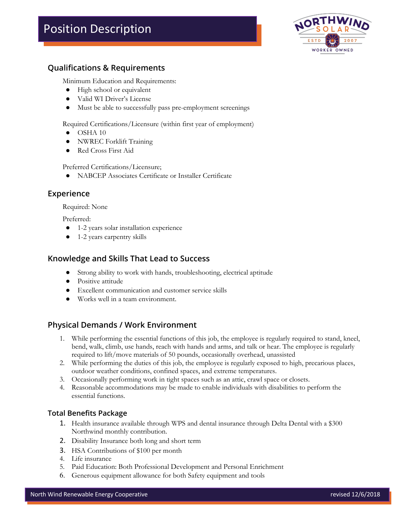# Position Description



## **Qualifications & Requirements**

Minimum Education and Requirements:

- High school or equivalent
- Valid WI Driver's License
- Must be able to successfully pass pre-employment screenings

Required Certifications/Licensure (within first year of employment)

- $\bullet$  OSHA 10
- NWREC Forklift Training
- Red Cross First Aid

Preferred Certifications/Licensure;

● NABCEP Associates Certificate or Installer Certificate

#### **Experience**

Required: None

Preferred:

- 1-2 years solar installation experience
- 1-2 years carpentry skills

#### **Knowledge and Skills That Lead to Success**

- Strong ability to work with hands, troubleshooting, electrical aptitude
- Positive attitude
- Excellent communication and customer service skills
- Works well in a team environment.

#### **Physical Demands / Work Environment**

- 1. While performing the essential functions of this job, the employee is regularly required to stand, kneel, bend, walk, climb, use hands, reach with hands and arms, and talk or hear. The employee is regularly required to lift/move materials of 50 pounds, occasionally overhead, unassisted
- 2. While performing the duties of this job, the employee is regularly exposed to high, precarious places, outdoor weather conditions, confined spaces, and extreme temperatures.
- 3. Occasionally performing work in tight spaces such as an attic, crawl space or closets.
- 4. Reasonable accommodations may be made to enable individuals with disabilities to perform the essential functions.

#### **Total Benefits Package**

- 1. Health insurance available through WPS and dental insurance through Delta Dental with a \$300 Northwind monthly contribution.
- 2. Disability Insurance both long and short term
- 3. HSA Contributions of \$100 per month
- 4. Life insurance
- 5. Paid Education: Both Professional Development and Personal Enrichment
- 6. Generous equipment allowance for both Safety equipment and tools